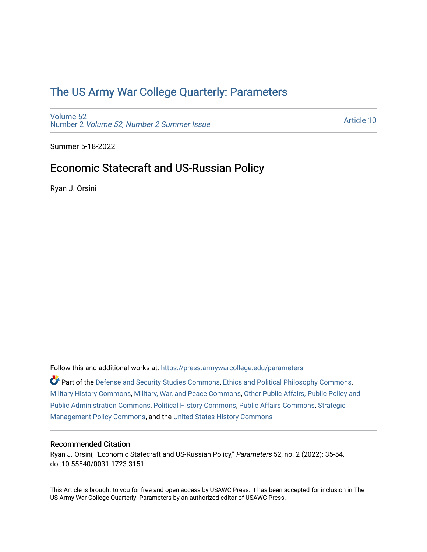# [The US Army War College Quarterly: Parameters](https://press.armywarcollege.edu/parameters)

[Volume 52](https://press.armywarcollege.edu/parameters/vol52) Number 2 [Volume 52, Number 2 Summer Issue](https://press.armywarcollege.edu/parameters/vol52/iss2)

[Article 10](https://press.armywarcollege.edu/parameters/vol52/iss2/10) 

Summer 5-18-2022

# Economic Statecraft and US-Russian Policy

Ryan J. Orsini

Follow this and additional works at: [https://press.armywarcollege.edu/parameters](https://press.armywarcollege.edu/parameters?utm_source=press.armywarcollege.edu%2Fparameters%2Fvol52%2Fiss2%2F10&utm_medium=PDF&utm_campaign=PDFCoverPages) 

Part of the [Defense and Security Studies Commons](https://network.bepress.com/hgg/discipline/394?utm_source=press.armywarcollege.edu%2Fparameters%2Fvol52%2Fiss2%2F10&utm_medium=PDF&utm_campaign=PDFCoverPages), [Ethics and Political Philosophy Commons](https://network.bepress.com/hgg/discipline/529?utm_source=press.armywarcollege.edu%2Fparameters%2Fvol52%2Fiss2%2F10&utm_medium=PDF&utm_campaign=PDFCoverPages), [Military History Commons,](https://network.bepress.com/hgg/discipline/504?utm_source=press.armywarcollege.edu%2Fparameters%2Fvol52%2Fiss2%2F10&utm_medium=PDF&utm_campaign=PDFCoverPages) [Military, War, and Peace Commons,](https://network.bepress.com/hgg/discipline/861?utm_source=press.armywarcollege.edu%2Fparameters%2Fvol52%2Fiss2%2F10&utm_medium=PDF&utm_campaign=PDFCoverPages) [Other Public Affairs, Public Policy and](https://network.bepress.com/hgg/discipline/403?utm_source=press.armywarcollege.edu%2Fparameters%2Fvol52%2Fiss2%2F10&utm_medium=PDF&utm_campaign=PDFCoverPages)  [Public Administration Commons,](https://network.bepress.com/hgg/discipline/403?utm_source=press.armywarcollege.edu%2Fparameters%2Fvol52%2Fiss2%2F10&utm_medium=PDF&utm_campaign=PDFCoverPages) [Political History Commons,](https://network.bepress.com/hgg/discipline/505?utm_source=press.armywarcollege.edu%2Fparameters%2Fvol52%2Fiss2%2F10&utm_medium=PDF&utm_campaign=PDFCoverPages) [Public Affairs Commons,](https://network.bepress.com/hgg/discipline/399?utm_source=press.armywarcollege.edu%2Fparameters%2Fvol52%2Fiss2%2F10&utm_medium=PDF&utm_campaign=PDFCoverPages) [Strategic](https://network.bepress.com/hgg/discipline/642?utm_source=press.armywarcollege.edu%2Fparameters%2Fvol52%2Fiss2%2F10&utm_medium=PDF&utm_campaign=PDFCoverPages)  [Management Policy Commons,](https://network.bepress.com/hgg/discipline/642?utm_source=press.armywarcollege.edu%2Fparameters%2Fvol52%2Fiss2%2F10&utm_medium=PDF&utm_campaign=PDFCoverPages) and the [United States History Commons](https://network.bepress.com/hgg/discipline/495?utm_source=press.armywarcollege.edu%2Fparameters%2Fvol52%2Fiss2%2F10&utm_medium=PDF&utm_campaign=PDFCoverPages)

# Recommended Citation

Ryan J. Orsini, "Economic Statecraft and US-Russian Policy," Parameters 52, no. 2 (2022): 35-54, doi:10.55540/0031-1723.3151.

This Article is brought to you for free and open access by USAWC Press. It has been accepted for inclusion in The US Army War College Quarterly: Parameters by an authorized editor of USAWC Press.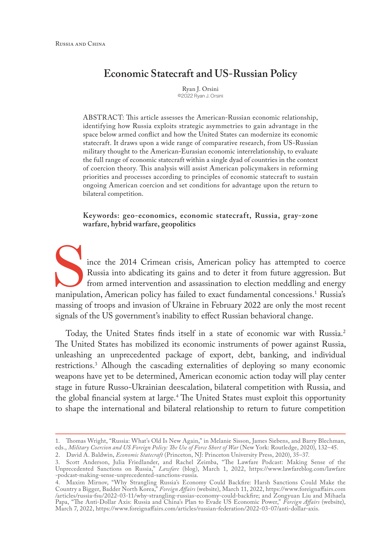# **Economic Statecraft and US-Russian Policy**

Ryan J. Orsini ©2022 Ryan J. Orsini

ABSTRACT: This article assesses the American-Russian economic relationship, identifying how Russia exploits strategic asymmetries to gain advantage in the space below armed conflict and how the United States can modernize its economic statecraft. It draws upon a wide range of comparative research, from US-Russian military thought to the American-Eurasian economic interrelationship, to evaluate the full range of economic statecraft within a single dyad of countries in the context of coercion theory. This analysis will assist American policymakers in reforming priorities and processes according to principles of economic statecraft to sustain ongoing American coercion and set conditions for advantage upon the return to bilateral competition.

**Keywords: geo-economics, economic statecraft, Russia, gray-zone warfare, hybrid warfare, geopolitics**

ince the 2014 Crimean crisis, American policy has attempted to coerce Russia into abdicating its gains and to deter it from future aggression. But from armed intervention and assassination to election meddling and energy manipulation, American policy has failed to exact fundamental concessions.1 Russia's massing of troops and invasion of Ukraine in February 2022 are only the most recent signals of the US government's inability to effect Russian behavioral change.

Today, the United States finds itself in a state of economic war with Russia.2 The United States has mobilized its economic instruments of power against Russia, unleashing an unprecedented package of export, debt, banking, and individual restrictions.3 Alhough the cascading externalities of deploying so many economic weapons have yet to be determined, American economic action today will play center stage in future Russo-Ukrainian deescalation, bilateral competition with Russia, and the global financial system at large.4 The United States must exploit this opportunity to shape the international and bilateral relationship to return to future competition

<sup>1.</sup> Thomas Wright, "Russia: What's Old Is New Again," in Melanie Sisson, James Siebens, and Barry Blechman, eds., *Military Coercion and US Foreign Policy: The Use of Force Short of War* (New York: Routledge, 2020), 132–45.

<sup>2.</sup> David A. Baldwin, *Economic Statecraft* (Princeton, NJ: Princeton University Press, 2020), 35–37. 3. Scott Anderson, Julia Friedlander, and Rachel Zeimba, "The Lawfare Podcast: Making Sense of the Unprecedented Sanctions on Russia," *Lawfare* (blog), March 1, 2022, [https://www.lawfareblog.com/lawfare](https://www.lawfareblog.com/lawfare-podcast-making-sense-unprecedented-sanctions-russia) [-podcast-making-sense-unprecedented-sanctions-russia](https://www.lawfareblog.com/lawfare-podcast-making-sense-unprecedented-sanctions-russia).

<sup>4.</sup> Maxim Mirnov, "Why Strangling Russia's Economy Could Backfire: Harsh Sanctions Could Make the Country a Bigger, Badder North Korea," *Foreign Affairs* (website), March 11, 2022, [https://www.foreignaffairs.com](https://www.foreignaffairs.com/articles/russia-fsu/2022-03-11/why-strangling-russias-economy-could-backfire) [/articles/russia-fsu/2022-03-11/why-strangling-russias-economy-could-backfire](https://www.foreignaffairs.com/articles/russia-fsu/2022-03-11/why-strangling-russias-economy-could-backfire); and Zongyuan Liu and Mihaela Papa, "The Anti-Dollar Axis: Russia and China's Plan to Evade US Economic Power," *Foreign Affairs* (website), March 7, 2022, <https://www.foreignaffairs.com/articles/russian-federation/2022-03-07/anti-dollar-axis>.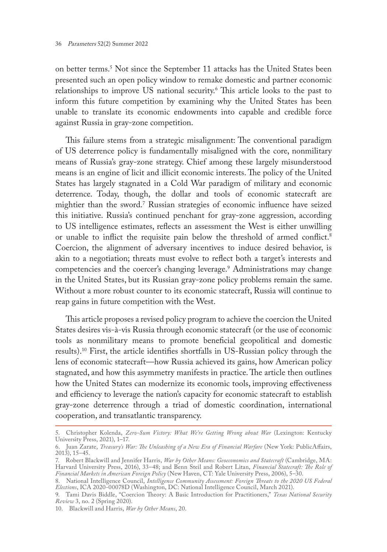on better terms.5 Not since the September 11 attacks has the United States been presented such an open policy window to remake domestic and partner economic relationships to improve US national security.6 This article looks to the past to inform this future competition by examining why the United States has been unable to translate its economic endowments into capable and credible force against Russia in gray-zone competition.

This failure stems from a strategic misalignment: The conventional paradigm of US deterrence policy is fundamentally misaligned with the core, nonmilitary means of Russia's gray-zone strategy. Chief among these largely misunderstood means is an engine of licit and illicit economic interests. The policy of the United States has largely stagnated in a Cold War paradigm of military and economic deterrence. Today, though, the dollar and tools of economic statecraft are mightier than the sword.7 Russian strategies of economic influence have seized this initiative. Russia's continued penchant for gray-zone aggression, according to US intelligence estimates, reflects an assessment the West is either unwilling or unable to inflict the requisite pain below the threshold of armed conflict.<sup>8</sup> Coercion, the alignment of adversary incentives to induce desired behavior, is akin to a negotiation; threats must evolve to reflect both a target's interests and competencies and the coercer's changing leverage.9 Administrations may change in the United States, but its Russian gray-zone policy problems remain the same. Without a more robust counter to its economic statecraft, Russia will continue to reap gains in future competition with the West.

This article proposes a revised policy program to achieve the coercion the United States desires vis-à-vis Russia through economic statecraft (or the use of economic tools as nonmilitary means to promote beneficial geopolitical and domestic results).10 First, the article identifies shortfalls in US-Russian policy through the lens of economic statecraft—how Russia achieved its gains, how American policy stagnated, and how this asymmetry manifests in practice. The article then outlines how the United States can modernize its economic tools, improving effectiveness and efficiency to leverage the nation's capacity for economic statecraft to establish gray-zone deterrence through a triad of domestic coordination, international cooperation, and transatlantic transparency.

<sup>5.</sup> Christopher Kolenda, *Zero-Sum Victory: What We're Getting Wrong about War* (Lexington: Kentucky University Press, 2021), 1–17.

<sup>6.</sup> Juan Zarate, *Treasury's War: The Unleashing of a New Era of Financial Warfare* (New York: PublicAffairs, 2013), 15–45.

<sup>7.</sup> Robert Blackwill and Jennifer Harris, *War by Other Means: Geoeconomics and Statecraft* (Cambridge, MA: Harvard University Press, 2016), 33–48; and Benn Steil and Robert Litan, *Financial Statecraft: The Role of Financial Markets in American Foreign Policy* (New Haven, CT: Yale University Press, 2006), 5–30.

<sup>8.</sup> National Intelligence Council, *Intelligence Community Assessment: Foreign Threats to the 2020 US Federal Elections*, ICA 2020-00078D (Washington, DC: National Intelligence Council, March 2021).

<sup>9.</sup> Tami Davis Biddle, "Coercion Theory: A Basic Introduction for Practitioners," *Texas National Security Review* 3, no. 2 (Spring 2020).

<sup>10.</sup> Blackwill and Harris, *War by Other Means*, 20.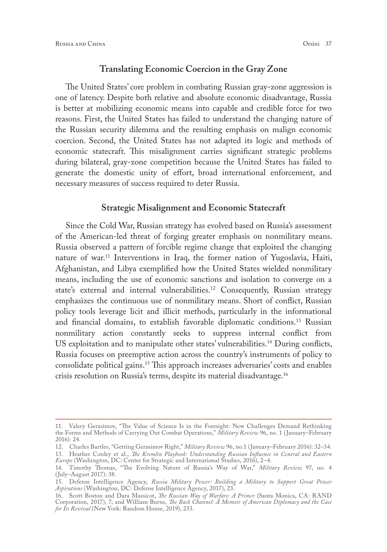#### **Translating Economic Coercion in the Gray Zone**

The United States' core problem in combating Russian gray-zone aggression is one of latency. Despite both relative and absolute economic disadvantage, Russia is better at mobilizing economic means into capable and credible force for two reasons. First, the United States has failed to understand the changing nature of the Russian security dilemma and the resulting emphasis on malign economic coercion. Second, the United States has not adapted its logic and methods of economic statecraft. This misalignment carries significant strategic problems during bilateral, gray-zone competition because the United States has failed to generate the domestic unity of effort, broad international enforcement, and necessary measures of success required to deter Russia.

#### **Strategic Misalignment and Economic Statecraft**

Since the Cold War, Russian strategy has evolved based on Russia's assessment of the American-led threat of forging greater emphasis on nonmilitary means. Russia observed a pattern of forcible regime change that exploited the changing nature of war.11 Interventions in Iraq, the former nation of Yugoslavia, Haiti, Afghanistan, and Libya exemplified how the United States wielded nonmilitary means, including the use of economic sanctions and isolation to converge on a state's external and internal vulnerabilities.<sup>12</sup> Consequently, Russian strategy emphasizes the continuous use of nonmilitary means. Short of conflict, Russian policy tools leverage licit and illicit methods, particularly in the informational and financial domains, to establish favorable diplomatic conditions.<sup>13</sup> Russian nonmilitary action constantly seeks to suppress internal conflict from US exploitation and to manipulate other states' vulnerabilities.<sup>14</sup> During conflicts, Russia focuses on preemptive action across the country's instruments of policy to consolidate political gains.15 This approach increases adversaries' costs and enables crisis resolution on Russia's terms, despite its material disadvantage.16

<sup>11.</sup> Valery Gerasimov, "The Value of Science Is in the Foresight: New Challenges Demand Rethinking the Forms and Methods of Carrying Out Combat Operations," *Military Review* 96, no. 1 (January–February 2016): 24.

<sup>12.</sup> Charles Bartles, "Getting Gerasimov Right," *Military Review* 96, no.1 (January–February 2016): 32–34.

<sup>13.</sup> Heather Conley et al., *The Kremlin Playbook: Understanding Russian Influence in Central and Eastern Europe* (Washington, DC: Center for Strategic and International Studies, 2016), 2–4.

<sup>14.</sup> Timothy Thomas, "The Evolving Nature of Russia's Way of War," *Military Review* 97, no. 4 (July–August 2017): 38.

<sup>15.</sup> Defense Intelligence Agency, *Russia Military Power: Building a Military to Support Great Power Aspirations* (Washington, DC: Defense Intelligence Agency, 2017), 23.

<sup>16.</sup> Scott Boston and Dara Massicot, *The Russian Way of Warfare: A Primer* (Santa Monica, CA: RAND Corporation, 2017), 7; and William Burns, *The Back Channel: A Memoir of American Diplomacy and the Case for Its Revival* (New York: Random House, 2019), 233.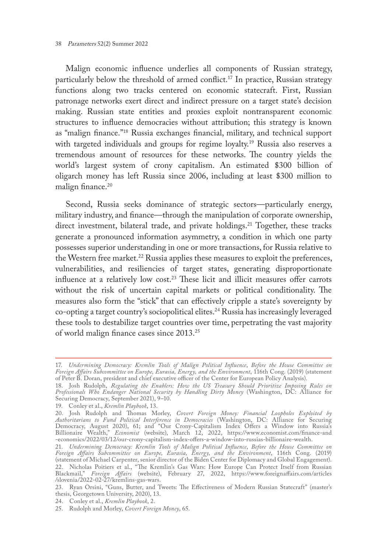Malign economic influence underlies all components of Russian strategy, particularly below the threshold of armed conflict.<sup>17</sup> In practice, Russian strategy functions along two tracks centered on economic statecraft. First, Russian patronage networks exert direct and indirect pressure on a target state's decision making. Russian state entities and proxies exploit nontransparent economic structures to influence democracies without attribution; this strategy is known as "malign finance."18 Russia exchanges financial, military, and technical support with targeted individuals and groups for regime loyalty.<sup>19</sup> Russia also reserves a tremendous amount of resources for these networks. The country yields the world's largest system of crony capitalism. An estimated \$300 billion of oligarch money has left Russia since 2006, including at least \$300 million to malign finance.<sup>20</sup>

Second, Russia seeks dominance of strategic sectors—particularly energy, military industry, and finance—through the manipulation of corporate ownership, direct investment, bilateral trade, and private holdings.<sup>21</sup> Together, these tracks generate a pronounced information asymmetry, a condition in which one party possesses superior understanding in one or more transactions, for Russia relative to the Western free market.<sup>22</sup> Russia applies these measures to exploit the preferences, vulnerabilities, and resiliencies of target states, generating disproportionate influence at a relatively low cost.<sup>23</sup> These licit and illicit measures offer carrots without the risk of uncertain capital markets or political conditionality. The measures also form the "stick" that can effectively cripple a state's sovereignty by co-opting a target country's sociopolitical elites.24 Russia has increasingly leveraged these tools to destabilize target countries over time, perpetrating the vast majority of world malign finance cases since 2013.25

<sup>17.</sup> *Undermining Democracy: Kremlin Tools of Malign Political Influence*, *Before the House Committee on Foreign Affairs Subcommittee on Europe, Eurasia, Energy, and the Environment*, 116th Cong. (2019) (statement of Peter B. Doran, president and chief executive officer of the Center for European Policy Analysis).

<sup>18.</sup> Josh Rudolph, *Regulating the Enablers: How the US Treasury Should Prioritize Imposing Rules on Professionals Who Endanger National Security by Handling Dirty Money* (Washington, DC: Alliance for Securing Democracy, September 2021), 9–10.

<sup>19.</sup> Conley et al., *Kremlin Playbook*, 13.

<sup>20.</sup> Josh Rudolph and Thomas Morley, *Covert Foreign Money: Financial Loopholes Exploited by Authoritarians to Fund Political Interference in Democracies* (Washington, DC: Alliance for Securing Democracy, August 2020), 61; and "Our Crony-Capitalism Index Offers a Window into Russia's Billionaire Wealth," *Economist* (website), March 12, 2022, [https://www.economist.com/finance-and](https://www.economist.com/finance-and-economics/2022/03/12/our-crony-capitalism-index-offers-a-window-into-russias-billionaire-wealth) [-economics/2022/03/12/our-crony-capitalism-index-offers-a-window-into-russias-billionaire-wealth](https://www.economist.com/finance-and-economics/2022/03/12/our-crony-capitalism-index-offers-a-window-into-russias-billionaire-wealth).

<sup>21.</sup> *Undermining Democracy: Kremlin Tools of Malign Political Influence*, *Before the House Committee on Foreign Affairs Subcommittee on Europe, Eurasia, Energy, and the Environment*, 116th Cong. (2019) (statement of Michael Carpenter, senior director of the Biden Center for Diplomacy and Global Engagement). 22. Nicholas Poitiers et al., "The Kremlin's Gas Wars: How Europe Can Protect Itself from Russian Blackmail," *Foreign Affairs* (website), February 27, 2022, [https://www.foreignaffairs.com/articles](https://www.foreignaffairs.com/articles/slovenia/2022-02-27/kremlins-gas-wars) [/slovenia/2022-02-27/kremlins-gas-wars.](https://www.foreignaffairs.com/articles/slovenia/2022-02-27/kremlins-gas-wars)

<sup>23.</sup> Ryan Orsini, "Guns, Butter, and Tweets: The Effectiveness of Modern Russian Statecraft" (master's thesis, Georgetown University, 2020), 13.

<sup>24.</sup> Conley et al., *Kremlin Playbook*, 2.

<sup>25.</sup> Rudolph and Morley, *Covert Foreign Money*, 65.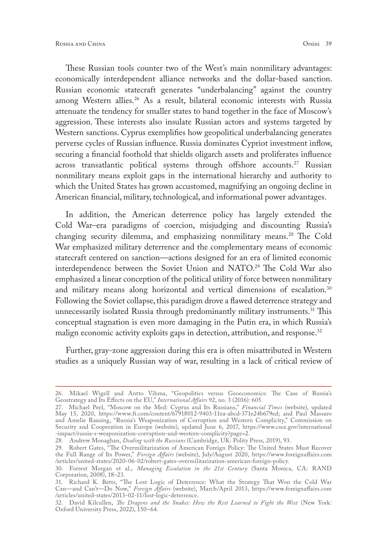These Russian tools counter two of the West's main nonmilitary advantages: economically interdependent alliance networks and the dollar-based sanction. Russian economic statecraft generates "underbalancing" against the country among Western allies.<sup>26</sup> As a result, bilateral economic interests with Russia attenuate the tendency for smaller states to band together in the face of Moscow's aggression. These interests also insulate Russian actors and systems targeted by Western sanctions. Cyprus exemplifies how geopolitical underbalancing generates perverse cycles of Russian influence. Russia dominates Cypriot investment inflow, securing a financial foothold that shields oligarch assets and proliferates influence across transatlantic political systems through offshore accounts.<sup>27</sup> Russian nonmilitary means exploit gaps in the international hierarchy and authority to which the United States has grown accustomed, magnifying an ongoing decline in American financial, military, technological, and informational power advantages.

In addition, the American deterrence policy has largely extended the Cold War–era paradigms of coercion, misjudging and discounting Russia's changing security dilemma, and emphasizing nonmilitary means.<sup>28</sup> The Cold War emphasized military deterrence and the complementary means of economic statecraft centered on sanction—actions designed for an era of limited economic interdependence between the Soviet Union and NATO.29 The Cold War also emphasized a linear conception of the political utility of force between nonmilitary and military means along horizontal and vertical dimensions of escalation.<sup>30</sup> Following the Soviet collapse, this paradigm drove a flawed deterrence strategy and unnecessarily isolated Russia through predominantly military instruments.<sup>31</sup> This conceptual stagnation is even more damaging in the Putin era, in which Russia's malign economic activity exploits gaps in detection, attribution, and response.<sup>32</sup>

Further, gray-zone aggression during this era is often misattributed in Western studies as a uniquely Russian way of war, resulting in a lack of critical review of

<sup>26.</sup> Mikael Wigell and Antto Vihma, "Geopolitics versus Geoeconomics: The Case of Russia's Geostrategy and Its Effects on the EU," *International Affairs* 92, no. 3 (2016): 605.

<sup>27.</sup> Michael Peel, "Moscow on the Med: Cyprus and Its Russians," *Financial Times* (website), updated May 15, 2020, [https://www.ft.com/content/67918012-9403-11ea-abcd-371e24b679ed;](https://www.ft.com/content/67918012-9403-11ea-abcd-371e24b679ed) and Paul Massaro and Amelie Rausing, "Russia's Weaponization of Corruption and Western Complicity," Commission on Security and Cooperation in Europe (website), updated June 6, 2017, [https://www.csce.gov/international](https://www.csce.gov/international-impact/russia-s-weaponization-corruption-and-western-complicity?page=2) [-impact/russia-s-weaponization-corruption-and-western-complicity?page=2](https://www.csce.gov/international-impact/russia-s-weaponization-corruption-and-western-complicity?page=2).

<sup>28.</sup> Andrew Monaghan, *Dealing with the Russians* (Cambridge, UK: Polity Press, 2019), 93.

<sup>29.</sup> Robert Gates, "The Overmilitarization of American Foreign Policy: The United States Must Recover the Full Range of Its Power," *Foreign Affairs* (website), July/August 2020, [https://www.foreignaffairs.com](https://www.foreignaffairs.com/articles/united-states/2020-06-02/robert-gates-overmilitarization-american-foreign-policy) [/articles/united-states/2020-06-02/robert-gates-overmilitarization-american-foreign-policy.](https://www.foreignaffairs.com/articles/united-states/2020-06-02/robert-gates-overmilitarization-american-foreign-policy)

<sup>30.</sup> Forrest Morgan et al., *Managing Escalation in the 21st Century* (Santa Monica, CA: RAND Corporation, 2008), 18–23.

<sup>31.</sup> Richard K. Betts, "The Lost Logic of Deterrence: What the Strategy That Won the Cold War Can—and Can't—Do Now," *Foreign Affairs* (website), March/April 2013, [https://www.foreignaffairs.com](https://www.foreignaffairs.com/articles/united-states/2013-02-11/lost-logic-deterrence) [/articles/united-states/2013-02-11/lost-logic-deterrence.](https://www.foreignaffairs.com/articles/united-states/2013-02-11/lost-logic-deterrence)

<sup>32.</sup> David Kilcullen, *The Dragons and the Snakes: How the Rest Learned to Fight the West* (New York: Oxford University Press, 2022), 150–64.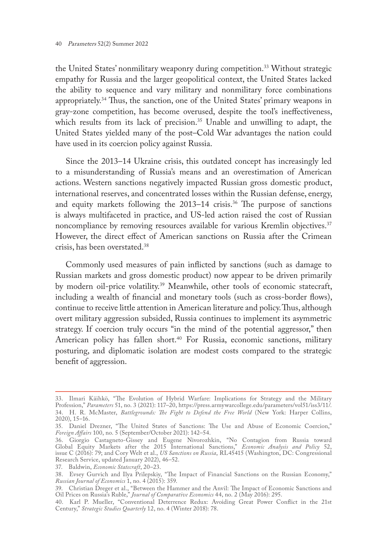the United States' nonmilitary weaponry during competition.<sup>33</sup> Without strategic empathy for Russia and the larger geopolitical context, the United States lacked the ability to sequence and vary military and nonmilitary force combinations appropriately.34 Thus, the sanction, one of the United States' primary weapons in gray-zone competition, has become overused, despite the tool's ineffectiveness, which results from its lack of precision.<sup>35</sup> Unable and unwilling to adapt, the United States yielded many of the post–Cold War advantages the nation could have used in its coercion policy against Russia.

Since the 2013–14 Ukraine crisis, this outdated concept has increasingly led to a misunderstanding of Russia's means and an overestimation of American actions. Western sanctions negatively impacted Russian gross domestic product, international reserves, and concentrated losses within the Russian defense, energy, and equity markets following the 2013–14 crisis.<sup>36</sup> The purpose of sanctions is always multifaceted in practice, and US-led action raised the cost of Russian noncompliance by removing resources available for various Kremlin objectives.<sup>37</sup> However, the direct effect of American sanctions on Russia after the Crimean crisis, has been overstated.38

Commonly used measures of pain inflicted by sanctions (such as damage to Russian markets and gross domestic product) now appear to be driven primarily by modern oil-price volatility.<sup>39</sup> Meanwhile, other tools of economic statecraft, including a wealth of financial and monetary tools (such as cross-border flows), continue to receive little attention in American literature and policy. Thus, although overt military aggression subsided, Russia continues to implement its asymmetric strategy. If coercion truly occurs "in the mind of the potential aggressor," then American policy has fallen short.<sup>40</sup> For Russia, economic sanctions, military posturing, and diplomatic isolation are modest costs compared to the strategic benefit of aggression.

37. Baldwin, *Economic Statecraft*, 20–23.

<sup>33.</sup> Ilmari Käihkö, "The Evolution of Hybrid Warfare: Implications for Strategy and the Military Profession," *Parameters* 51, no. 3 (2021): 117–20, [https://press.armywarcollege.edu/parameters/vol51/iss3/11/.](https://press.armywarcollege.edu/parameters/vol51/iss3/11/) 34. H. R. McMaster, *Battlegrounds: The Fight to Defend the Free World* (New York: Harper Collins, 2020), 15–16.

<sup>35.</sup> Daniel Drezner, "The United States of Sanctions: The Use and Abuse of Economic Coercion," *Foreign Affairs* 100, no. 5 (September/October 2021): 142–54.

<sup>36.</sup> Giorgio Castagneto-Gissey and Eugene Nivorozhkin, "No Contagion from Russia toward Global Equity Markets after the 2015 International Sanctions," *Economic Analysis and Policy* 52, issue C (2016): 79; and Cory Welt et al., *US Sanctions on Russia*, RL45415 (Washington, DC: Congressional Research Service, updated January 2022), 46–52.

<sup>38.</sup> Evsey Gurvich and Ilya Prilepskiy, "The Impact of Financial Sanctions on the Russian Economy," *Russian Journal of Economics* 1, no. 4 (2015): 359.

<sup>39.</sup> Christian Dreger et al., "Between the Hammer and the Anvil: The Impact of Economic Sanctions and Oil Prices on Russia's Ruble," *Journal of Comparative Economics* 44, no. 2 (May 2016): 295.

<sup>40.</sup> Karl P. Mueller, "Conventional Deterrence Redux: Avoiding Great Power Conflict in the 21st Century," *Strategic Studies Quarterly* 12, no. 4 (Winter 2018): 78.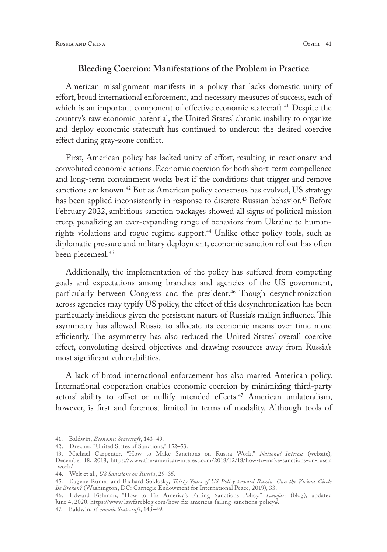#### **Bleeding Coercion: Manifestations of the Problem in Practice**

American misalignment manifests in a policy that lacks domestic unity of effort, broad international enforcement, and necessary measures of success, each of which is an important component of effective economic statecraft.<sup>41</sup> Despite the country's raw economic potential, the United States' chronic inability to organize and deploy economic statecraft has continued to undercut the desired coercive effect during gray-zone conflict.

First, American policy has lacked unity of effort, resulting in reactionary and convoluted economic actions. Economic coercion for both short-term compellence and long-term containment works best if the conditions that trigger and remove sanctions are known.<sup>42</sup> But as American policy consensus has evolved, US strategy has been applied inconsistently in response to discrete Russian behavior.<sup>43</sup> Before February 2022, ambitious sanction packages showed all signs of political mission creep, penalizing an ever-expanding range of behaviors from Ukraine to humanrights violations and rogue regime support.<sup>44</sup> Unlike other policy tools, such as diplomatic pressure and military deployment, economic sanction rollout has often been piecemeal.<sup>45</sup>

Additionally, the implementation of the policy has suffered from competing goals and expectations among branches and agencies of the US government, particularly between Congress and the president.<sup>46</sup> Though desynchronization across agencies may typify US policy, the effect of this desynchronization has been particularly insidious given the persistent nature of Russia's malign influence. This asymmetry has allowed Russia to allocate its economic means over time more efficiently. The asymmetry has also reduced the United States' overall coercive effect, convoluting desired objectives and drawing resources away from Russia's most significant vulnerabilities.

A lack of broad international enforcement has also marred American policy. International cooperation enables economic coercion by minimizing third-party actors' ability to offset or nullify intended effects.<sup>47</sup> American unilateralism, however, is first and foremost limited in terms of modality. Although tools of

<sup>41.</sup> Baldwin, *Economic Statecraft*, 143–49.

<sup>42.</sup> Drezner, "United States of Sanctions," 152–53.

<sup>43.</sup> Michael Carpenter, "How to Make Sanctions on Russia Work," *National Interest* (website), December 18, 2018, [https://www.the-american-interest.com/2018/12/18/how-to-make-sanctions-on-russia](https://www.the-american-interest.com/2018/12/18/how-to-make-sanctions-on-russia-work/) [-work/](https://www.the-american-interest.com/2018/12/18/how-to-make-sanctions-on-russia-work/).

<sup>44.</sup> Welt et al., *US Sanctions on Russia*, 29–35.

<sup>45.</sup> Eugene Rumer and Richard Soklosky, *Thirty Years of US Policy toward Russia: Can the Vicious Circle Be Broken?* (Washington, DC: Carnegie Endowment for International Peace, 2019), 33.

<sup>46.</sup> Edward Fishman, "How to Fix America's Failing Sanctions Policy," *Lawfare* (blog), updated June 4, 2020, [https://www.lawfareblog.com/how-fix-americas-failing-sanctions-policy#.](https://www.lawfareblog.com/how-fix-americas-failing-sanctions-policy#)

<sup>47.</sup> Baldwin, *Economic Statecraft*, 143–49.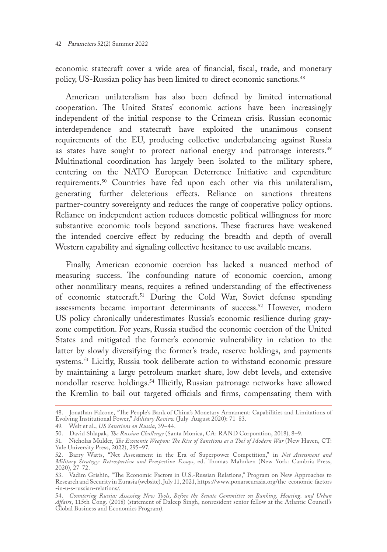economic statecraft cover a wide area of financial, fiscal, trade, and monetary policy, US-Russian policy has been limited to direct economic sanctions.<sup>48</sup>

American unilateralism has also been defined by limited international cooperation. The United States' economic actions have been increasingly independent of the initial response to the Crimean crisis. Russian economic interdependence and statecraft have exploited the unanimous consent requirements of the EU, producing collective underbalancing against Russia as states have sought to protect national energy and patronage interests.<sup>49</sup> Multinational coordination has largely been isolated to the military sphere, centering on the NATO European Deterrence Initiative and expenditure requirements.50 Countries have fed upon each other via this unilateralism, generating further deleterious effects. Reliance on sanctions threatens partner-country sovereignty and reduces the range of cooperative policy options. Reliance on independent action reduces domestic political willingness for more substantive economic tools beyond sanctions. These fractures have weakened the intended coercive effect by reducing the breadth and depth of overall Western capability and signaling collective hesitance to use available means.

Finally, American economic coercion has lacked a nuanced method of measuring success. The confounding nature of economic coercion, among other nonmilitary means, requires a refined understanding of the effectiveness of economic statecraft.51 During the Cold War, Soviet defense spending assessments became important determinants of success.<sup>52</sup> However, modern US policy chronically underestimates Russia's economic resilience during grayzone competition. For years, Russia studied the economic coercion of the United States and mitigated the former's economic vulnerability in relation to the latter by slowly diversifying the former's trade, reserve holdings, and payments systems.53 Licitly, Russia took deliberate action to withstand economic pressure by maintaining a large petroleum market share, low debt levels, and extensive nondollar reserve holdings.<sup>54</sup> Illicitly, Russian patronage networks have allowed the Kremlin to bail out targeted officials and firms, compensating them with

<sup>48.</sup> Jonathan Falcone, "The People's Bank of China's Monetary Armament: Capabilities and Limitations of Evolving Institutional Power," *Military Review* (July–August 2020): 71–83.

<sup>49.</sup> Welt et al., *US Sanctions on Russia*, 39–44.

<sup>50.</sup> David Shlapak, *The Russian Challenge* (Santa Monica, CA: RAND Corporation, 2018), 8–9.

<sup>51.</sup> Nicholas Mulder, *The Economic Weapon: The Rise of Sanctions as a Tool of Modern War* (New Haven, CT: Yale University Press, 2022), 295–97.

<sup>52.</sup> Barry Watts, "Net Assessment in the Era of Superpower Competition," in *Net Assessment and Military Strategy: Retrospective and Prospec*tive *Essays*, ed. Thomas Mahnken (New York: Cambria Press, 2020), 27–72.

<sup>53.</sup> Vadim Grishin, "The Economic Factors in U.S.-Russian Relations," Program on New Approaches to Research and Security in Eurasia (website), July 11, 2021, [https://www.ponarseurasia.org/the-economic-factors](https://www.ponarseurasia.org/the-economic-factors-in-u-s-russian-relations/) [-in-u-s-russian-relations/.](https://www.ponarseurasia.org/the-economic-factors-in-u-s-russian-relations/)

<sup>54.</sup> *Countering Russia: Assessing New Tools*, *Before the Senate Committee on Banking, Housing, and Urban Affairs*, 115th Cong. (2018) (statement of Daleep Singh, nonresident senior fellow at the Atlantic Council's Global Business and Economics Program).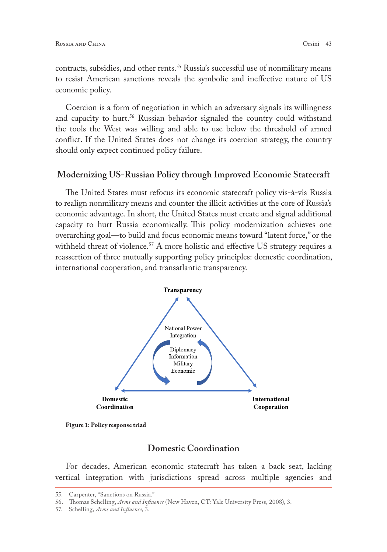contracts, subsidies, and other rents.<sup>55</sup> Russia's successful use of nonmilitary means to resist American sanctions reveals the symbolic and ineffective nature of US economic policy.

Coercion is a form of negotiation in which an adversary signals its willingness and capacity to hurt.<sup>56</sup> Russian behavior signaled the country could withstand the tools the West was willing and able to use below the threshold of armed conflict. If the United States does not change its coercion strategy, the country should only expect continued policy failure.

#### **Modernizing US-Russian Policy through Improved Economic Statecraft**

The United States must refocus its economic statecraft policy vis-à-vis Russia to realign nonmilitary means and counter the illicit activities at the core of Russia's economic advantage. In short, the United States must create and signal additional capacity to hurt Russia economically. This policy modernization achieves one overarching goal—to build and focus economic means toward "latent force," or the withheld threat of violence.<sup>57</sup> A more holistic and effective US strategy requires a reassertion of three mutually supporting policy principles: domestic coordination, international cooperation, and transatlantic transparency.



**Figure 1: Policy response triad** 

# **Domestic Coordination**

For decades, American economic statecraft has taken a back seat, lacking vertical integration with jurisdictions spread across multiple agencies and

57. Schelling, *Arms and Influence*, 3.

<sup>55.</sup> Carpenter, "Sanctions on Russia."

<sup>56.</sup> Thomas Schelling, *Arms and Influence* (New Haven, CT: Yale University Press, 2008), 3.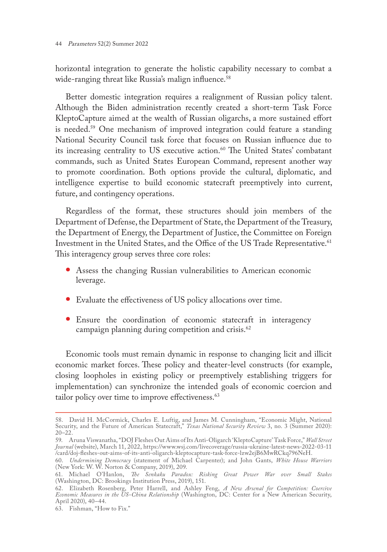horizontal integration to generate the holistic capability necessary to combat a wide-ranging threat like Russia's malign influence.<sup>58</sup>

Better domestic integration requires a realignment of Russian policy talent. Although the Biden administration recently created a short-term Task Force KleptoCapture aimed at the wealth of Russian oligarchs, a more sustained effort is needed.59 One mechanism of improved integration could feature a standing National Security Council task force that focuses on Russian influence due to its increasing centrality to US executive action.<sup>60</sup> The United States' combatant commands, such as United States European Command, represent another way to promote coordination. Both options provide the cultural, diplomatic, and intelligence expertise to build economic statecraft preemptively into current, future, and contingency operations.

Regardless of the format, these structures should join members of the Department of Defense, the Department of State, the Department of the Treasury, the Department of Energy, the Department of Justice, the Committee on Foreign Investment in the United States, and the Office of the US Trade Representative.<sup>61</sup> This interagency group serves three core roles:

- **•** Assess the changing Russian vulnerabilities to American economic leverage.
- **•** Evaluate the effectiveness of US policy allocations over time.
- **•** Ensure the coordination of economic statecraft in interagency campaign planning during competition and crisis.<sup>62</sup>

Economic tools must remain dynamic in response to changing licit and illicit economic market forces. These policy and theater-level constructs (for example, closing loopholes in existing policy or preemptively establishing triggers for implementation) can synchronize the intended goals of economic coercion and tailor policy over time to improve effectiveness.<sup>63</sup>

<sup>58.</sup> David H. McCormick, Charles E. Luftig, and James M. Cunningham, "Economic Might, National Security, and the Future of American Statecraft," *Texas National Security Review* 3, no. 3 (Summer 2020): 20–22.

<sup>59.</sup> Aruna Viswanatha, "DOJ Fleshes Out Aims of Its Anti-Oligarch 'KleptoCapture' Task Force," *Wall Street Journal* (website), March 11, 2022, [https://www.wsj.com/livecoverage/russia-ukraine-latest-news-2022-03-11](https://www.wsj.com/livecoverage/russia-ukraine-latest-news-2022-03-11/card/doj-fleshes-out-aims-of-its-anti-oligarch-kleptocapture-task-force-lzw2ejB6MwRCkq796NeH) [/card/doj-fleshes-out-aims-of-its-anti-oligarch-kleptocapture-task-force-lzw2ejB6MwRCkq796NeH.](https://www.wsj.com/livecoverage/russia-ukraine-latest-news-2022-03-11/card/doj-fleshes-out-aims-of-its-anti-oligarch-kleptocapture-task-force-lzw2ejB6MwRCkq796NeH)

<sup>60.</sup> *Undermining Democracy* (statement of Michael Carpenter); and John Gants, *White House Warriors* (New York: W. W. Norton & Company, 2019), 209.

<sup>61.</sup> Michael O'Hanlon, *The Senkaku Paradox: Risking Great Power War over Small Stakes* (Washington, DC: Brookings Institution Press, 2019), 151.

<sup>62.</sup> Elizabeth Rosenberg, Peter Harrell, and Ashley Feng, *A New Arsenal for Competition: Coercive Economic Measures in the US-China Relationship* (Washington, DC: Center for a New American Security, April 2020), 40–44.

<sup>63.</sup> Fishman, "How to Fix."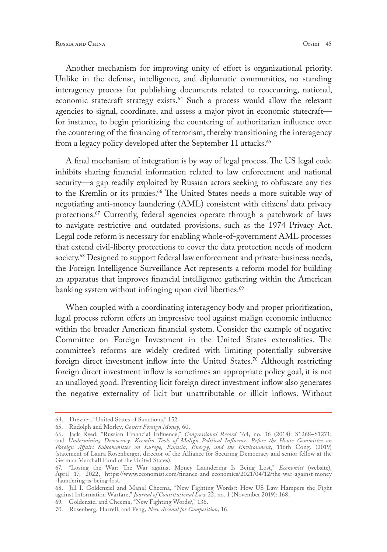Another mechanism for improving unity of effort is organizational priority. Unlike in the defense, intelligence, and diplomatic communities, no standing interagency process for publishing documents related to reoccurring, national, economic statecraft strategy exists.<sup>64</sup> Such a process would allow the relevant agencies to signal, coordinate, and assess a major pivot in economic statecraft for instance, to begin prioritizing the countering of authoritarian influence over the countering of the financing of terrorism, thereby transitioning the interagency from a legacy policy developed after the September 11 attacks.<sup>65</sup>

A final mechanism of integration is by way of legal process. The US legal code inhibits sharing financial information related to law enforcement and national security—a gap readily exploited by Russian actors seeking to obfuscate any ties to the Kremlin or its proxies.<sup>66</sup> The United States needs a more suitable way of negotiating anti-money laundering (AML) consistent with citizens' data privacy protections.<sup>67</sup> Currently, federal agencies operate through a patchwork of laws to navigate restrictive and outdated provisions, such as the 1974 Privacy Act. Legal code reform is necessary for enabling whole-of-government AML processes that extend civil-liberty protections to cover the data protection needs of modern society.<sup>68</sup> Designed to support federal law enforcement and private-business needs, the Foreign Intelligence Surveillance Act represents a reform model for building an apparatus that improves financial intelligence gathering within the American banking system without infringing upon civil liberties.<sup>69</sup>

When coupled with a coordinating interagency body and proper prioritization, legal process reform offers an impressive tool against malign economic influence within the broader American financial system. Consider the example of negative Committee on Foreign Investment in the United States externalities. The committee's reforms are widely credited with limiting potentially subversive foreign direct investment inflow into the United States.70 Although restricting foreign direct investment inflow is sometimes an appropriate policy goal, it is not an unalloyed good. Preventing licit foreign direct investment inflow also generates the negative externality of licit but unattributable or illicit inflows. Without

<sup>64.</sup> Drezner, "United States of Sanctions," 152.

<sup>65.</sup> Rudolph and Morley, *Covert Foreign Money*, 60.

<sup>66.</sup> Jack Reed, "Russian Financial Influence," *Congressional Record* 164, no. 36 (2018): S1268–S1271; and *Undermining Democracy: Kremlin Tools of Malign Political Influence*, *Before the House Committee on Foreign Affairs Subcommittee on Europe, Eurasia, Energy, and the Environment*, 116th Cong. (2019) (statement of Laura Rosenberger, director of the Alliance for Securing Democracy and senior fellow at the German Marshall Fund of the United States).

<sup>67.</sup> "Losing the War: The War against Money Laundering Is Being Lost," *Economist* (website), April 17, 2022, [https://www.economist.com/finance-and-economics/2021/04/12/the-war-against-money](https://www.economist.com/finance-and-economics/2021/04/12/the-war-against-money-laundering-is-being-lost) [-laundering-is-being-lost](https://www.economist.com/finance-and-economics/2021/04/12/the-war-against-money-laundering-is-being-lost).

<sup>68.</sup> Jill I. Goldenziel and Manal Cheema, "New Fighting Words?: How US Law Hampers the Fight against Information Warfare," *Journal of Constitutional Law* 22, no. 1 (November 2019): 168.

<sup>69.</sup> Goldenziel and Cheema, "New Fighting Words?," 136.

<sup>70.</sup> Rosenberg, Harrell, and Feng, *New Arsenal for Competition*, 16.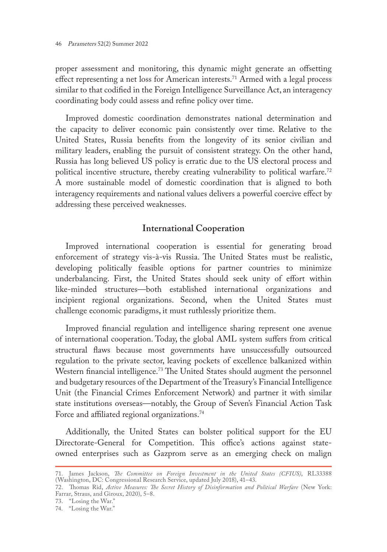proper assessment and monitoring, this dynamic might generate an offsetting effect representing a net loss for American interests.<sup>71</sup> Armed with a legal process similar to that codified in the Foreign Intelligence Surveillance Act, an interagency coordinating body could assess and refine policy over time.

Improved domestic coordination demonstrates national determination and the capacity to deliver economic pain consistently over time. Relative to the United States, Russia benefits from the longevity of its senior civilian and military leaders, enabling the pursuit of consistent strategy. On the other hand, Russia has long believed US policy is erratic due to the US electoral process and political incentive structure, thereby creating vulnerability to political warfare.<sup>72</sup> A more sustainable model of domestic coordination that is aligned to both interagency requirements and national values delivers a powerful coercive effect by addressing these perceived weaknesses.

# **International Cooperation**

Improved international cooperation is essential for generating broad enforcement of strategy vis-à-vis Russia. The United States must be realistic, developing politically feasible options for partner countries to minimize underbalancing. First, the United States should seek unity of effort within like-minded structures—both established international organizations and incipient regional organizations. Second, when the United States must challenge economic paradigms, it must ruthlessly prioritize them.

Improved financial regulation and intelligence sharing represent one avenue of international cooperation. Today, the global AML system suffers from critical structural flaws because most governments have unsuccessfully outsourced regulation to the private sector, leaving pockets of excellence balkanized within Western financial intelligence.<sup>73</sup> The United States should augment the personnel and budgetary resources of the Department of the Treasury's Financial Intelligence Unit (the Financial Crimes Enforcement Network) and partner it with similar state institutions overseas—notably, the Group of Seven's Financial Action Task Force and affiliated regional organizations.<sup>74</sup>

Additionally, the United States can bolster political support for the EU Directorate-General for Competition. This office's actions against stateowned enterprises such as Gazprom serve as an emerging check on malign

73. "Losing the War."

<sup>71.</sup> James Jackson, *The Committee on Foreign Investment in the United States (CFIUS)*, RL33388 (Washington, DC: Congressional Research Service, updated July 2018), 41–43.

<sup>72.</sup> Thomas Rid, *Active Measures: The Secret History of Disinformation and Political Warfare* (New York: Farrar, Straus, and Giroux, 2020), 5–8.

<sup>74.</sup> "Losing the War."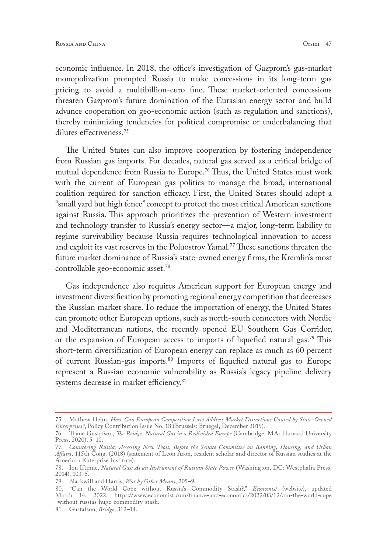economic influence. In 2018, the office's investigation of Gazprom's gas-market monopolization prompted Russia to make concessions in its long-term gas pricing to avoid a multibillion-euro fine. These market-oriented concessions threaten Gazprom's future domination of the Eurasian energy sector and build advance cooperation on geo-economic action (such as regulation and sanctions), thereby minimizing tendencies for political compromise or underbalancing that dilutes effectiveness.75

The United States can also improve cooperation by fostering independence from Russian gas imports. For decades, natural gas served as a critical bridge of mutual dependence from Russia to Europe.<sup>76</sup> Thus, the United States must work with the current of European gas politics to manage the broad, international coalition required for sanction efficacy. First, the United States should adopt a "small yard but high fence" concept to protect the most critical American sanctions against Russia. This approach prioritizes the prevention of Western investment and technology transfer to Russia's energy sector—a major, long-term liability to regime survivability because Russia requires technological innovation to access and exploit its vast reserves in the Poluostrov Yamal.77 These sanctions threaten the future market dominance of Russia's state-owned energy firms, the Kremlin's most controllable geo-economic asset.78

Gas independence also requires American support for European energy and investment diversification by promoting regional energy competition that decreases the Russian market share. To reduce the importation of energy, the United States can promote other European options, such as north-south connectors with Nordic and Mediterranean nations, the recently opened EU Southern Gas Corridor, or the expansion of European access to imports of liquefied natural gas.<sup>79</sup> This short-term diversification of European energy can replace as much as 60 percent of current Russian-gas imports.80 Imports of liquefied natural gas to Europe represent a Russian economic vulnerability as Russia's legacy pipeline delivery systems decrease in market efficiency.<sup>81</sup>

<sup>75.</sup> Mathew Heim, *How Can European Competition Law Address Market Distortions Caused by State-Owned Enterprises?*, Policy Contribution Issue No. 18 (Brussels: Bruegel, December 2019).

<sup>76.</sup> Thane Gustafson, *The Bridge: Natural Gas in a Redivided Europe* (Cambridge, MA: Harvard University Press, 2020), 5–10.

<sup>77.</sup> *Countering Russia: Assessing New Tools*, *Before the Senate Committee on Banking, Housing, and Urban Affairs*, 115th Cong. (2018) (statement of Leon Aron, resident scholar and director of Russian studies at the American Enterprise Institute).

<sup>78.</sup> Ion Iftimie, *Natural Gas: As an Instrument of Russian State Power* (Washington, DC: Westphalia Press, 2014), 103–5.

<sup>79.</sup> Blackwill and Harris, *War by Other Means*, 205–9.

<sup>80.</sup> "Can the World Cope without Russia's Commodity Stash?," *Economist* (website), updated March 14, 2022, [https://www.economist.com/finance-and-economics/2022/03/12/can-the-world-cope](https://www.economist.com/finance-and-economics/2022/03/12/can-the-world-cope-without-russias-huge-commodity-stash) [-without-russias-huge-commodity-stash.](https://www.economist.com/finance-and-economics/2022/03/12/can-the-world-cope-without-russias-huge-commodity-stash)

<sup>81.</sup> Gustafson, *Bridge*, 312–14.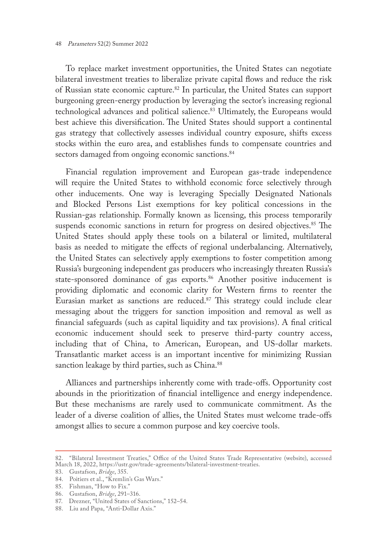To replace market investment opportunities, the United States can negotiate bilateral investment treaties to liberalize private capital flows and reduce the risk of Russian state economic capture.<sup>82</sup> In particular, the United States can support burgeoning green-energy production by leveraging the sector's increasing regional technological advances and political salience.<sup>83</sup> Ultimately, the Europeans would best achieve this diversification. The United States should support a continental gas strategy that collectively assesses individual country exposure, shifts excess stocks within the euro area, and establishes funds to compensate countries and sectors damaged from ongoing economic sanctions.<sup>84</sup>

Financial regulation improvement and European gas-trade independence will require the United States to withhold economic force selectively through other inducements. One way is leveraging Specially Designated Nationals and Blocked Persons List exemptions for key political concessions in the Russian-gas relationship. Formally known as licensing, this process temporarily suspends economic sanctions in return for progress on desired objectives.<sup>85</sup> The United States should apply these tools on a bilateral or limited, multilateral basis as needed to mitigate the effects of regional underbalancing. Alternatively, the United States can selectively apply exemptions to foster competition among Russia's burgeoning independent gas producers who increasingly threaten Russia's state-sponsored dominance of gas exports.<sup>86</sup> Another positive inducement is providing diplomatic and economic clarity for Western firms to reenter the Eurasian market as sanctions are reduced.<sup>87</sup> This strategy could include clear messaging about the triggers for sanction imposition and removal as well as financial safeguards (such as capital liquidity and tax provisions). A final critical economic inducement should seek to preserve third-party country access, including that of China, to American, European, and US-dollar markets. Transatlantic market access is an important incentive for minimizing Russian sanction leakage by third parties, such as China.<sup>88</sup>

Alliances and partnerships inherently come with trade-offs. Opportunity cost abounds in the prioritization of financial intelligence and energy independence. But these mechanisms are rarely used to communicate commitment. As the leader of a diverse coalition of allies, the United States must welcome trade-offs amongst allies to secure a common purpose and key coercive tools.

<sup>82.</sup> "Bilateral Investment Treaties," Office of the United States Trade Representative (website), accessed March 18, 2022, [https://ustr.gov/trade-agreements/bilateral-investment-treaties.](https://ustr.gov/trade-agreements/bilateral-investment-treaties)

<sup>83.</sup> Gustafson, *Bridge*, 355.

<sup>84.</sup> Poitiers et al., "Kremlin's Gas Wars."

<sup>85.</sup> Fishman, "How to Fix."

<sup>86.</sup> Gustafson, *Bridge*, 291–316.

<sup>87.</sup> Drezner, "United States of Sanctions," 152–54.

<sup>88.</sup> Liu and Papa, "Anti-Dollar Axis."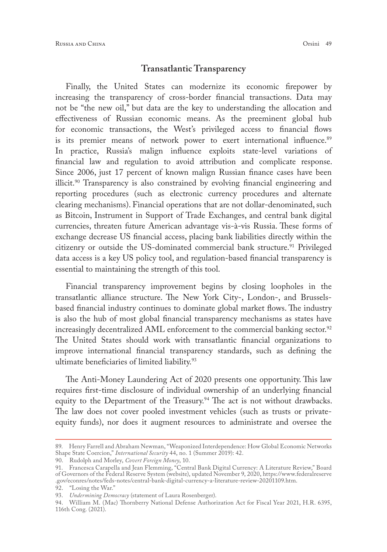### **Transatlantic Transparency**

Finally, the United States can modernize its economic firepower by increasing the transparency of cross-border financial transactions. Data may not be "the new oil," but data are the key to understanding the allocation and effectiveness of Russian economic means. As the preeminent global hub for economic transactions, the West's privileged access to financial flows is its premier means of network power to exert international influence.<sup>89</sup> In practice, Russia's malign influence exploits state-level variations of financial law and regulation to avoid attribution and complicate response. Since 2006, just 17 percent of known malign Russian finance cases have been illicit.<sup>90</sup> Transparency is also constrained by evolving financial engineering and reporting procedures (such as electronic currency procedures and alternate clearing mechanisms). Financial operations that are not dollar-denominated, such as Bitcoin, Instrument in Support of Trade Exchanges, and central bank digital currencies, threaten future American advantage vis-à-vis Russia. These forms of exchange decrease US financial access, placing bank liabilities directly within the citizenry or outside the US-dominated commercial bank structure.<sup>91</sup> Privileged data access is a key US policy tool, and regulation-based financial transparency is essential to maintaining the strength of this tool.

Financial transparency improvement begins by closing loopholes in the transatlantic alliance structure. The New York City-, London-, and Brusselsbased financial industry continues to dominate global market flows. The industry is also the hub of most global financial transparency mechanisms as states have increasingly decentralized AML enforcement to the commercial banking sector.<sup>92</sup> The United States should work with transatlantic financial organizations to improve international financial transparency standards, such as defining the ultimate beneficiaries of limited liability.<sup>93</sup>

The Anti-Money Laundering Act of 2020 presents one opportunity. This law requires first-time disclosure of individual ownership of an underlying financial equity to the Department of the Treasury.<sup>94</sup> The act is not without drawbacks. The law does not cover pooled investment vehicles (such as trusts or privateequity funds), nor does it augment resources to administrate and oversee the

<sup>89.</sup> Henry Farrell and Abraham Newman, "Weaponized Interdependence: How Global Economic Networks Shape State Coercion," *International Security* 44, no. 1 (Summer 2019): 42.

<sup>90.</sup> Rudolph and Morley, *Covert Foreign Money*, 10.

<sup>91.</sup> Francesca Carapella and Jean Flemming, "Central Bank Digital Currency: A Literature Review," Board of Governors of the Federal Reserve System (website), updated November 9, 2020, [https://www.federalreserve](https://www.federalreserve.gov/econres/notes/feds-notes/central-bank-digital-currency-a-literature-review-20201109.htm) [.gov/econres/notes/feds-notes/central-bank-digital-currency-a-literature-review-20201109.htm](https://www.federalreserve.gov/econres/notes/feds-notes/central-bank-digital-currency-a-literature-review-20201109.htm).

<sup>92.</sup> "Losing the War."

<sup>93.</sup> *Undermining Democracy* (statement of Laura Rosenberger).

<sup>94.</sup> William M. (Mac) Thornberry National Defense Authorization Act for Fiscal Year 2021, H.R. 6395, 116th Cong. (2021).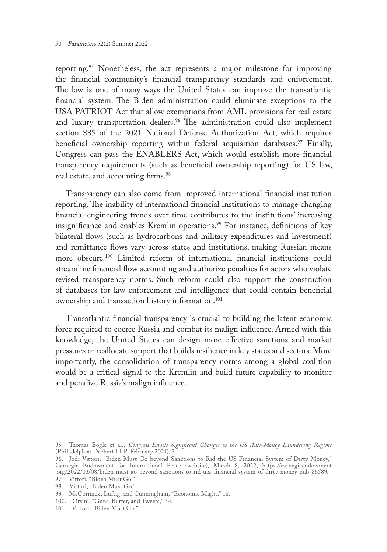reporting.<sup>95</sup> Nonetheless, the act represents a major milestone for improving the financial community's financial transparency standards and enforcement. The law is one of many ways the United States can improve the transatlantic financial system. The Biden administration could eliminate exceptions to the USA PATRIOT Act that allow exemptions from AML provisions for real estate and luxury transportation dealers.<sup>96</sup> The administration could also implement section 885 of the 2021 National Defense Authorization Act, which requires beneficial ownership reporting within federal acquisition databases.<sup>97</sup> Finally, Congress can pass the ENABLERS Act, which would establish more financial transparency requirements (such as beneficial ownership reporting) for US law, real estate, and accounting firms.<sup>98</sup>

Transparency can also come from improved international financial institution reporting. The inability of international financial institutions to manage changing financial engineering trends over time contributes to the institutions' increasing insignificance and enables Kremlin operations.<sup>99</sup> For instance, definitions of key bilateral flows (such as hydrocarbons and military expenditures and investment) and remittance flows vary across states and institutions, making Russian means more obscure.100 Limited reform of international financial institutions could streamline financial flow accounting and authorize penalties for actors who violate revised transparency norms. Such reform could also support the construction of databases for law enforcement and intelligence that could contain beneficial ownership and transaction history information.<sup>101</sup>

Transatlantic financial transparency is crucial to building the latent economic force required to coerce Russia and combat its malign influence. Armed with this knowledge, the United States can design more effective sanctions and market pressures or reallocate support that builds resilience in key states and sectors. More importantly, the consolidation of transparency norms among a global coalition would be a critical signal to the Kremlin and build future capability to monitor and penalize Russia's malign influence.

<sup>95.</sup> Thomas Bogle et al., *Congress Enacts Significant Changes to the US Anti-Money Laundering Regime* (Philadelphia: Dechert LLP, February 2021), 3.

<sup>96.</sup> Jodi Vittori, "Biden Must Go beyond Sanctions to Rid the US Financial System of Dirty Money," Carnegie Endowment for International Peace (website), March 8, 2022, [https://carnegieendowment](https://carnegieendowment.org/2022/03/08/biden-must-go-beyond-sanctions-to-rid-u.s.-financial-system-of-dirty-money-pub-86589) [.org/2022/03/08/biden-must-go-beyond-sanctions-to-rid-u.s.-financial-system-of-dirty-money-pub-86589.](https://carnegieendowment.org/2022/03/08/biden-must-go-beyond-sanctions-to-rid-u.s.-financial-system-of-dirty-money-pub-86589)

<sup>97.</sup> Vittori, "Biden Must Go."

<sup>98.</sup> Vittori, "Biden Must Go."

<sup>99.</sup> McCormick, Luftig, and Cunningham, "Economic Might," 18.

<sup>100.</sup> Orsini, "Guns, Butter, and Tweets," 34.

<sup>101.</sup> Vittori, "Biden Must Go."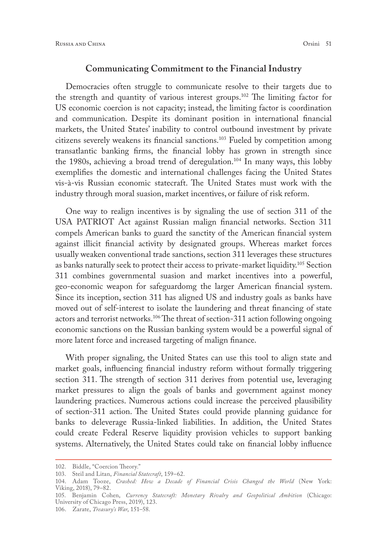#### **Communicating Commitment to the Financial Industry**

Democracies often struggle to communicate resolve to their targets due to the strength and quantity of various interest groups.102 The limiting factor for US economic coercion is not capacity; instead, the limiting factor is coordination and communication. Despite its dominant position in international financial markets, the United States' inability to control outbound investment by private citizens severely weakens its financial sanctions.103 Fueled by competition among transatlantic banking firms, the financial lobby has grown in strength since the 1980s, achieving a broad trend of deregulation.104 In many ways, this lobby exemplifies the domestic and international challenges facing the United States vis-à-vis Russian economic statecraft. The United States must work with the industry through moral suasion, market incentives, or failure of risk reform.

One way to realign incentives is by signaling the use of section 311 of the USA PATRIOT Act against Russian malign financial networks. Section 311 compels American banks to guard the sanctity of the American financial system against illicit financial activity by designated groups. Whereas market forces usually weaken conventional trade sanctions, section 311 leverages these structures as banks naturally seek to protect their access to private-market liquidity.<sup>105</sup> Section 311 combines governmental suasion and market incentives into a powerful, geo-economic weapon for safeguardomg the larger American financial system. Since its inception, section 311 has aligned US and industry goals as banks have moved out of self-interest to isolate the laundering and threat financing of state actors and terrorist networks.106 The threat of section-311 action following ongoing economic sanctions on the Russian banking system would be a powerful signal of more latent force and increased targeting of malign finance.

With proper signaling, the United States can use this tool to align state and market goals, influencing financial industry reform without formally triggering section 311. The strength of section 311 derives from potential use, leveraging market pressures to align the goals of banks and government against money laundering practices. Numerous actions could increase the perceived plausibility of section-311 action. The United States could provide planning guidance for banks to deleverage Russia-linked liabilities. In addition, the United States could create Federal Reserve liquidity provision vehicles to support banking systems. Alternatively, the United States could take on financial lobby influence

106. Zarate, *Treasury's War*, 151–58.

<sup>102.</sup> Biddle, "Coercion Theory."

<sup>103.</sup> Steil and Litan, *Financial Statecraft*, 159–62.

<sup>104.</sup> Adam Tooze, *Crashed: How a Decade of Financial Crisis Changed the World* (New York: Viking, 2018), 79–82.

<sup>105.</sup> Benjamin Cohen, *Currency Statecraft: Monetary Rivalry and Geopolitical Ambition* (Chicago: University of Chicago Press, 2019), 123.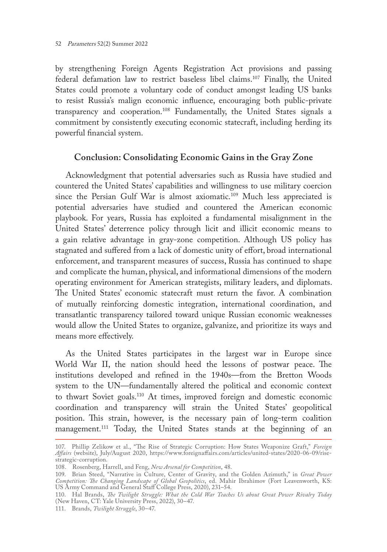by strengthening Foreign Agents Registration Act provisions and passing federal defamation law to restrict baseless libel claims.107 Finally, the United States could promote a voluntary code of conduct amongst leading US banks to resist Russia's malign economic influence, encouraging both public-private transparency and cooperation.108 Fundamentally, the United States signals a commitment by consistently executing economic statecraft, including herding its powerful financial system.

# **Conclusion: Consolidating Economic Gains in the Gray Zone**

Acknowledgment that potential adversaries such as Russia have studied and countered the United States' capabilities and willingness to use military coercion since the Persian Gulf War is almost axiomatic.<sup>109</sup> Much less appreciated is potential adversaries have studied and countered the American economic playbook. For years, Russia has exploited a fundamental misalignment in the United States' deterrence policy through licit and illicit economic means to a gain relative advantage in gray-zone competition. Although US policy has stagnated and suffered from a lack of domestic unity of effort, broad international enforcement, and transparent measures of success, Russia has continued to shape and complicate the human, physical, and informational dimensions of the modern operating environment for American strategists, military leaders, and diplomats. The United States' economic statecraft must return the favor. A combination of mutually reinforcing domestic integration, international coordination, and transatlantic transparency tailored toward unique Russian economic weaknesses would allow the United States to organize, galvanize, and prioritize its ways and means more effectively.

As the United States participates in the largest war in Europe since World War II, the nation should heed the lessons of postwar peace. The institutions developed and refined in the 1940s—from the Bretton Woods system to the UN—fundamentally altered the political and economic context to thwart Soviet goals.110 At times, improved foreign and domestic economic coordination and transparency will strain the United States' geopolitical position. This strain, however, is the necessary pain of long-term coalition management.<sup>111</sup> Today, the United States stands at the beginning of an

111. Brands, *Twilight Struggle*, 30–47.

<sup>107.</sup> Phillip Zelikow et al., "The Rise of Strategic Corruption: How States Weaponize Graft," *Foreign Affairs* (website), July/August 2020, [https://www.foreignaffairs.com/articles/united-states/2020-06-09/rise](https://www.foreignaffairs.com/articles/united-states/2020-06-09/rise-strategic-corruption)[strategic-corruption](https://www.foreignaffairs.com/articles/united-states/2020-06-09/rise-strategic-corruption).

<sup>108.</sup> Rosenberg, Harrell, and Feng, *New Arsenal for Competition*, 48.

<sup>109.</sup> Brian Steed, "Narrative in Culture, Center of Gravity, and the Golden Azimuth," in *Great Power Competition: The Changing Landscape of Global Geopolitics*, ed. Mahir Ibrahimov (Fort Leavenworth, KS: US Army Command and General Staff College Press, 2020), 231–54.

<sup>110.</sup> Hal Brands, *The Twilight Struggle: What the Cold War Teaches Us about Great Power Rivalry Today* (New Haven, CT: Yale University Press, 2022), 30–47.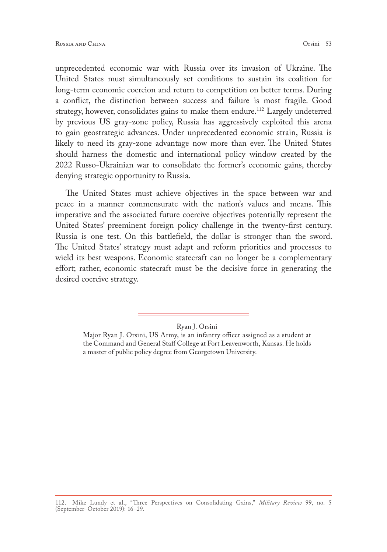unprecedented economic war with Russia over its invasion of Ukraine. The United States must simultaneously set conditions to sustain its coalition for long-term economic coercion and return to competition on better terms. During a conflict, the distinction between success and failure is most fragile. Good strategy, however, consolidates gains to make them endure.<sup>112</sup> Largely undeterred by previous US gray-zone policy, Russia has aggressively exploited this arena to gain geostrategic advances. Under unprecedented economic strain, Russia is likely to need its gray-zone advantage now more than ever. The United States should harness the domestic and international policy window created by the 2022 Russo-Ukrainian war to consolidate the former's economic gains, thereby denying strategic opportunity to Russia.

The United States must achieve objectives in the space between war and peace in a manner commensurate with the nation's values and means. This imperative and the associated future coercive objectives potentially represent the United States' preeminent foreign policy challenge in the twenty-first century. Russia is one test. On this battlefield, the dollar is stronger than the sword. The United States' strategy must adapt and reform priorities and processes to wield its best weapons. Economic statecraft can no longer be a complementary effort; rather, economic statecraft must be the decisive force in generating the desired coercive strategy.

Ryan J. Orsini

Major Ryan J. Orsini, US Army, is an infantry officer assigned as a student at the Command and General Staff College at Fort Leavenworth, Kansas. He holds a master of public policy degree from Georgetown University.

<sup>112.</sup> Mike Lundy et al., "Three Perspectives on Consolidating Gains," *Military Review* 99, no. 5 (September–October 2019): 16–29.